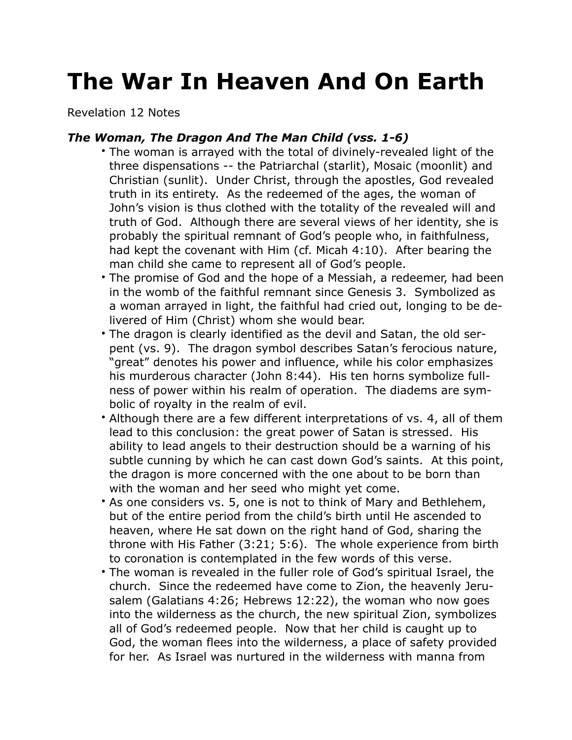## **The War In Heaven And On Earth**

Revelation 12 Notes

## *The Woman, The Dragon And The Man Child (vss. 1-6)*

- The woman is arrayed with the total of divinely-revealed light of the three dispensations -- the Patriarchal (starlit), Mosaic (moonlit) and Christian (sunlit). Under Christ, through the apostles, God revealed truth in its entirety. As the redeemed of the ages, the woman of John's vision is thus clothed with the totality of the revealed will and truth of God. Although there are several views of her identity, she is probably the spiritual remnant of God's people who, in faithfulness, had kept the covenant with Him (cf. Micah 4:10). After bearing the man child she came to represent all of God's people.
- The promise of God and the hope of a Messiah, a redeemer, had been in the womb of the faithful remnant since Genesis 3. Symbolized as a woman arrayed in light, the faithful had cried out, longing to be delivered of Him (Christ) whom she would bear.
- The dragon is clearly identified as the devil and Satan, the old serpent (vs. 9). The dragon symbol describes Satan's ferocious nature, "great" denotes his power and influence, while his color emphasizes his murderous character (John 8:44). His ten horns symbolize fullness of power within his realm of operation. The diadems are symbolic of royalty in the realm of evil.
- Although there are a few different interpretations of vs. 4, all of them lead to this conclusion: the great power of Satan is stressed. His ability to lead angels to their destruction should be a warning of his subtle cunning by which he can cast down God's saints. At this point, the dragon is more concerned with the one about to be born than with the woman and her seed who might yet come.
- As one considers vs. 5, one is not to think of Mary and Bethlehem, but of the entire period from the child's birth until He ascended to heaven, where He sat down on the right hand of God, sharing the throne with His Father (3:21; 5:6). The whole experience from birth to coronation is contemplated in the few words of this verse.
- The woman is revealed in the fuller role of God's spiritual Israel, the church. Since the redeemed have come to Zion, the heavenly Jerusalem (Galatians 4:26; Hebrews 12:22), the woman who now goes into the wilderness as the church, the new spiritual Zion, symbolizes all of God's redeemed people. Now that her child is caught up to God, the woman flees into the wilderness, a place of safety provided for her. As Israel was nurtured in the wilderness with manna from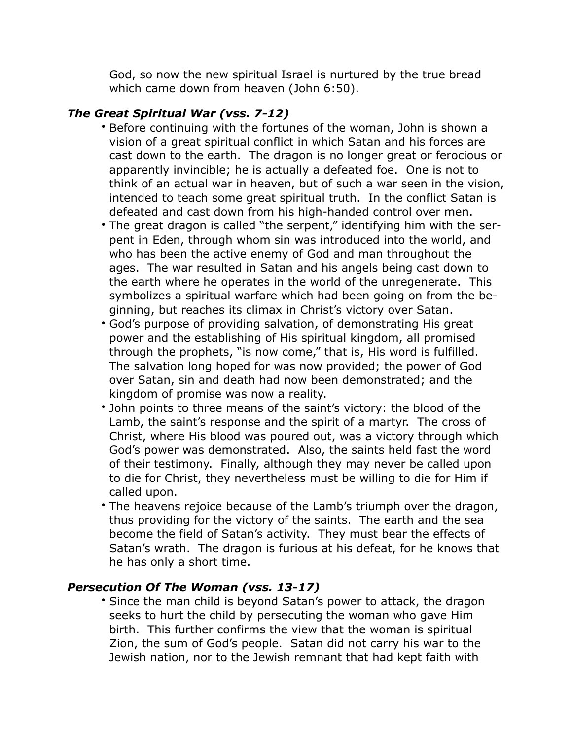God, so now the new spiritual Israel is nurtured by the true bread which came down from heaven (John 6:50).

## *The Great Spiritual War (vss. 7-12)*

- Before continuing with the fortunes of the woman, John is shown a vision of a great spiritual conflict in which Satan and his forces are cast down to the earth. The dragon is no longer great or ferocious or apparently invincible; he is actually a defeated foe. One is not to think of an actual war in heaven, but of such a war seen in the vision, intended to teach some great spiritual truth. In the conflict Satan is defeated and cast down from his high-handed control over men.
- The great dragon is called "the serpent," identifying him with the serpent in Eden, through whom sin was introduced into the world, and who has been the active enemy of God and man throughout the ages. The war resulted in Satan and his angels being cast down to the earth where he operates in the world of the unregenerate. This symbolizes a spiritual warfare which had been going on from the beginning, but reaches its climax in Christ's victory over Satan.
- God's purpose of providing salvation, of demonstrating His great power and the establishing of His spiritual kingdom, all promised through the prophets, "is now come," that is, His word is fulfilled. The salvation long hoped for was now provided; the power of God over Satan, sin and death had now been demonstrated; and the kingdom of promise was now a reality.
- John points to three means of the saint's victory: the blood of the Lamb, the saint's response and the spirit of a martyr. The cross of Christ, where His blood was poured out, was a victory through which God's power was demonstrated. Also, the saints held fast the word of their testimony. Finally, although they may never be called upon to die for Christ, they nevertheless must be willing to die for Him if called upon.
- The heavens rejoice because of the Lamb's triumph over the dragon, thus providing for the victory of the saints. The earth and the sea become the field of Satan's activity. They must bear the effects of Satan's wrath. The dragon is furious at his defeat, for he knows that he has only a short time.

## *Persecution Of The Woman (vss. 13-17)*

• Since the man child is beyond Satan's power to attack, the dragon seeks to hurt the child by persecuting the woman who gave Him birth. This further confirms the view that the woman is spiritual Zion, the sum of God's people. Satan did not carry his war to the Jewish nation, nor to the Jewish remnant that had kept faith with